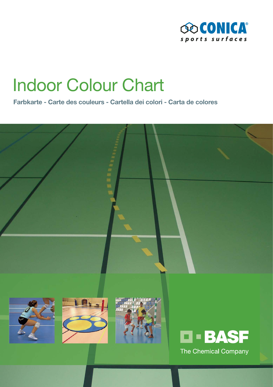

# Indoor Colour Chart

**Farbkarte - Carte des couleurs - Cartella dei colori - Carta de colores**

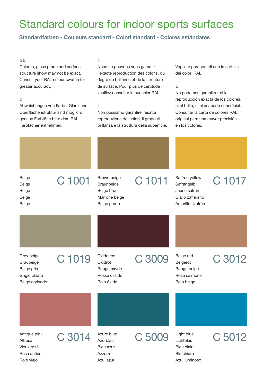## Standard colours for indoor sports surfaces

### **Standardfarben - Couleurs standard - Colori standard - Colores estándares**

#### **GB**

Colours, gloss grade and surface structure show may not be exact. Consult your RAL colour swatch for greater accuracy.

#### **D**

Abweichungen von Farbe, Glanz und Oberflächenstruktur sind möglich, genaue Farbtöne bitte dem RAL Farbfächer entnehmen.

#### **F**

**I**

Nous ne pouvons vous garantir l'exacte reproduction des coloris, du degré de brillance et de la structure de surface. Pour plus de certitude veuillez consulter le nuancier RAL.

Non possiamo garantire l'esatta reproduzione dei colori, il grado di brillanza e la struttura della superficie. Vogliate paragonarli con la cartella dei colori RAL.

#### **E**

No podemos garantizar ni la reproducción exacta de los colores, ni el brillo, ni el acabado superficial. Consultar la carta de colores RAL original para una mayor precisión en los colores.

Beige Beige Beige Beige

 $C$  1001 Braunbeige Beige brun Marrone beige Beige pardo

## Brown beige C 1011

**Safrangelb** Jaune safran Giallo zafferano Amarillo azafrán

Saffron yellow C 1017

Graubeige Beige gris Grigio chiaro Beige agrisado

Grey beige C 1019

Oxidrot Rouge oxyde Rosse ossido Rojo óxido

Oxide red C 3009

Beigerot Rouge beige Rosa salmone Rojo beige

### Beige red C 3012

Altrosa Vieux rosé Rosa antico Rojo viejo

Antique pink C 3014

Azurblau Bleu azur Azzurro Azul azur

C 5009 Azure blue

Lichtblau Bleu clair Blu chiaro Azul luminoso

Light blue C 5012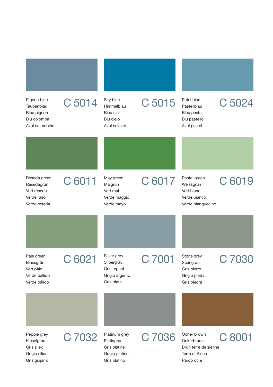| Pigeon blue<br>Taubenblau<br>Bleu pigeon<br>Blu colomba<br>Azul colombino | C 5014 | Sky blue<br>Himmelblau<br>Bleu ciel<br>Blu cielo<br>Azul celeste              | C 5015 | Patel blue<br>Pastellblau<br>Bleu pastel<br>Blu pastello<br>Azul pastel           | C 5024 |
|---------------------------------------------------------------------------|--------|-------------------------------------------------------------------------------|--------|-----------------------------------------------------------------------------------|--------|
|                                                                           |        |                                                                               |        |                                                                                   |        |
| Reseda green<br>Resedagrün<br>Vert réséda<br>Verde raso<br>Verde reseda   | C 6011 | May green<br>Maigrün<br>Vert mai<br>Verde maggio<br>Verde mayo                | C 6017 | Pastel green<br>Weissgrün<br>Vert blanc<br>Verde bianco<br>Verde blanquecino      | C 6019 |
|                                                                           |        |                                                                               |        |                                                                                   |        |
| Pale green<br>Blassgrün<br>Vert pâle<br>Verde pallido<br>Verde pálido     | C 6021 | Silver grey<br>Silbergrau<br>Gris argent<br>Grigio argento<br>Gris plata      | C 7001 | Stone grey<br>Steingrau<br>Gris pierro<br>Grigio pietra<br>Gris piedra            | C 703  |
|                                                                           |        |                                                                               |        |                                                                                   |        |
| Pepple grey<br>Kieselgrau<br>Gris silex<br>Grigio silice<br>Gris guijarro | C 7032 | Platinum grey<br>Platingrau<br>Gris olatine<br>Grigio platino<br>Gris platino | C 7036 | Ocher brown<br>Ockerbraun<br>Brun terre de sienne<br>Terra di Siena<br>Pardo ocre | C 8001 |

٠